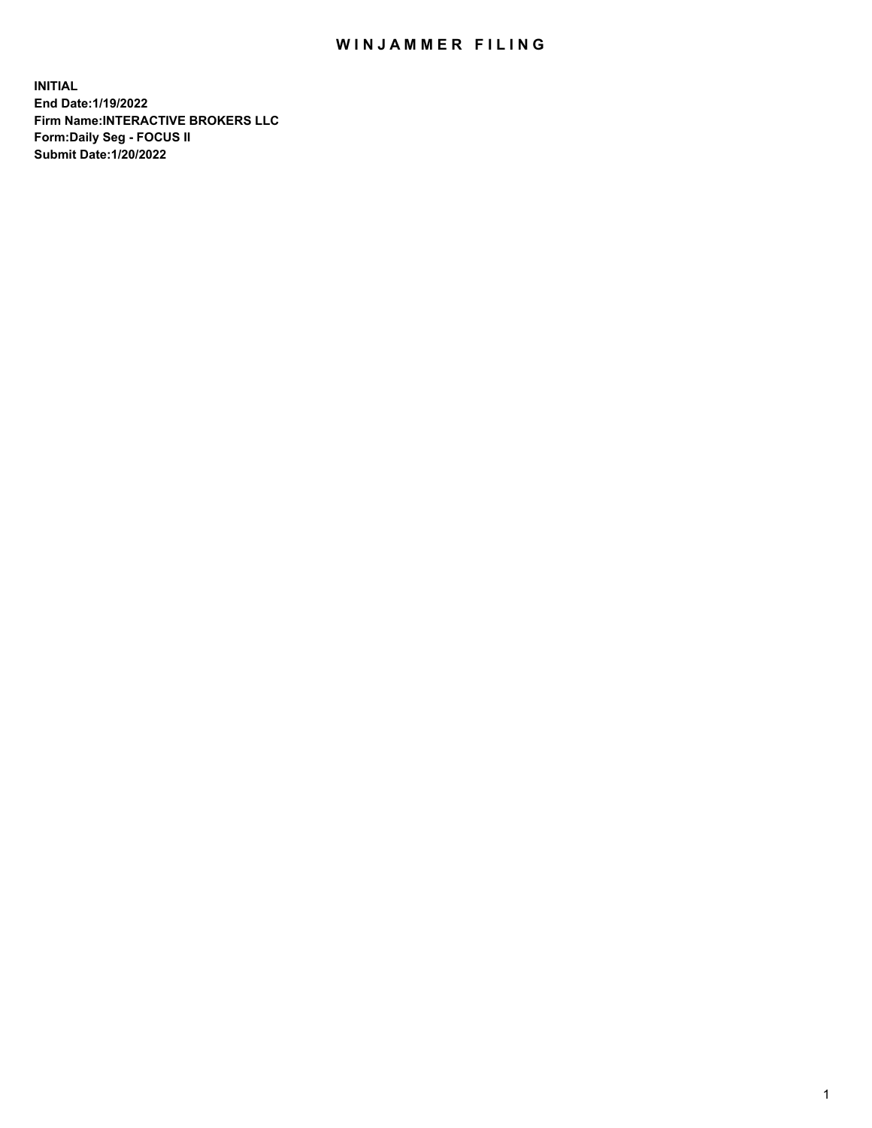## WIN JAMMER FILING

**INITIAL End Date:1/19/2022 Firm Name:INTERACTIVE BROKERS LLC Form:Daily Seg - FOCUS II Submit Date:1/20/2022**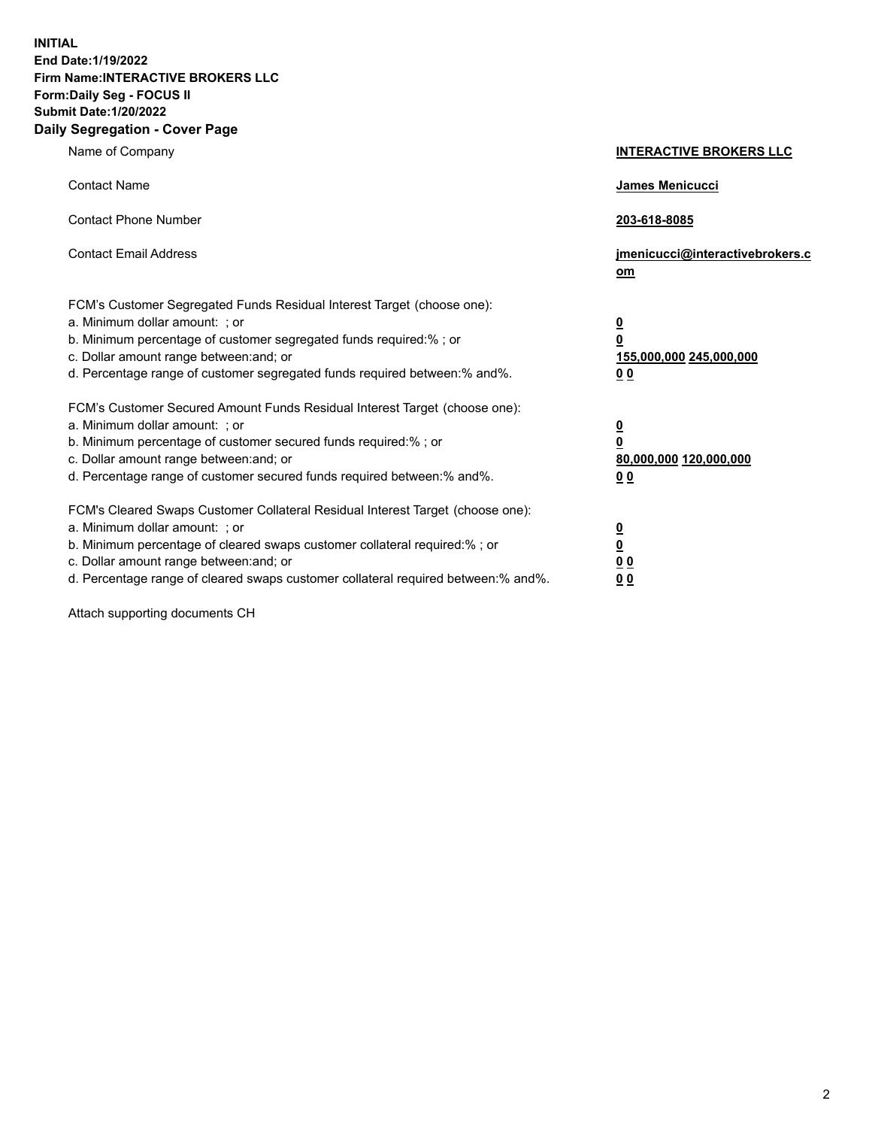**INITIAL End Date:1/19/2022 Firm Name:INTERACTIVE BROKERS LLC Form:Daily Seg - FOCUS II Submit Date:1/20/2022 Daily Segregation - Cover Page**

| Name of Company                                                                                                                                                                                                                                                                                                               | <b>INTERACTIVE BROKERS LLC</b>                                                                  |  |
|-------------------------------------------------------------------------------------------------------------------------------------------------------------------------------------------------------------------------------------------------------------------------------------------------------------------------------|-------------------------------------------------------------------------------------------------|--|
| <b>Contact Name</b>                                                                                                                                                                                                                                                                                                           | James Menicucci                                                                                 |  |
| <b>Contact Phone Number</b>                                                                                                                                                                                                                                                                                                   | 203-618-8085                                                                                    |  |
| <b>Contact Email Address</b>                                                                                                                                                                                                                                                                                                  | jmenicucci@interactivebrokers.c<br><u>om</u>                                                    |  |
| FCM's Customer Segregated Funds Residual Interest Target (choose one):<br>a. Minimum dollar amount: ; or<br>b. Minimum percentage of customer segregated funds required:% ; or<br>c. Dollar amount range between: and; or<br>d. Percentage range of customer segregated funds required between:% and%.                        | $\overline{\mathbf{0}}$<br>$\overline{\mathbf{0}}$<br>155,000,000 245,000,000<br>0 <sub>0</sub> |  |
| FCM's Customer Secured Amount Funds Residual Interest Target (choose one):<br>a. Minimum dollar amount: ; or<br>b. Minimum percentage of customer secured funds required:%; or<br>c. Dollar amount range between: and; or<br>d. Percentage range of customer secured funds required between:% and%.                           | $\overline{\mathbf{0}}$<br>$\overline{\mathbf{0}}$<br>80,000,000 120,000,000<br>0 <sub>0</sub>  |  |
| FCM's Cleared Swaps Customer Collateral Residual Interest Target (choose one):<br>a. Minimum dollar amount: ; or<br>b. Minimum percentage of cleared swaps customer collateral required:%; or<br>c. Dollar amount range between: and; or<br>d. Percentage range of cleared swaps customer collateral required between:% and%. | $\overline{\mathbf{0}}$<br>$\overline{\mathbf{0}}$<br>0 <sub>0</sub><br>0 <sub>0</sub>          |  |

Attach supporting documents CH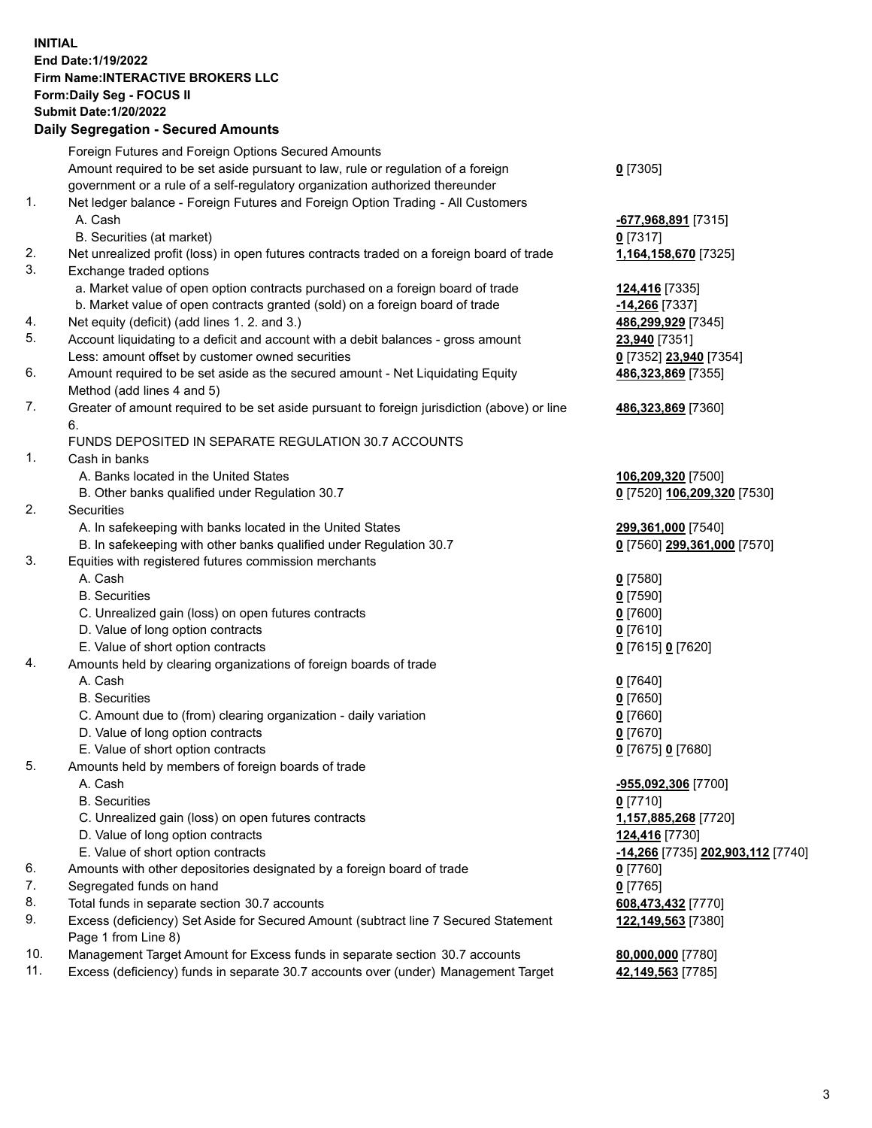**INITIAL End Date:1/19/2022 Firm Name:INTERACTIVE BROKERS LLC Form:Daily Seg - FOCUS II Submit Date:1/20/2022 Daily Segregation - Secured Amounts**

| -677,968,891 [7315]<br>1,164,158,670 [7325]<br>124,416 [7335]<br>-14,266 <sup>[7337]</sup> |
|--------------------------------------------------------------------------------------------|
|                                                                                            |
|                                                                                            |
|                                                                                            |
|                                                                                            |
|                                                                                            |
|                                                                                            |
|                                                                                            |
|                                                                                            |
|                                                                                            |
|                                                                                            |
| 486,299,929 [7345]                                                                         |
| 23,940 [7351]                                                                              |
| 0 [7352] 23,940 [7354]                                                                     |
| 486,323,869 [7355]                                                                         |
|                                                                                            |
| 486,323,869 [7360]                                                                         |
|                                                                                            |
|                                                                                            |
|                                                                                            |
| 106,209,320 [7500]                                                                         |
| 0 [7520] 106,209,320 [7530]                                                                |
|                                                                                            |
| 299,361,000 [7540]                                                                         |
| 0 [7560] 299,361,000 [7570]                                                                |
|                                                                                            |
|                                                                                            |
|                                                                                            |
|                                                                                            |
|                                                                                            |
| 0 [7615] 0 [7620]                                                                          |
|                                                                                            |
|                                                                                            |
|                                                                                            |
|                                                                                            |
|                                                                                            |
| 0 [7675] 0 [7680]                                                                          |
|                                                                                            |
| -955,092,306 [7700]                                                                        |
|                                                                                            |
| 1,157,885,268 [7720]                                                                       |
| 124,416 [7730]                                                                             |
| <u>-14,266</u> [7735] 202,903,112 [7740]                                                   |
|                                                                                            |
|                                                                                            |
| 608,473,432 [7770]                                                                         |
| 122,149,563 [7380]                                                                         |
|                                                                                            |
| 80,000,000 [7780]                                                                          |
| 42,149,563 [7785]                                                                          |
|                                                                                            |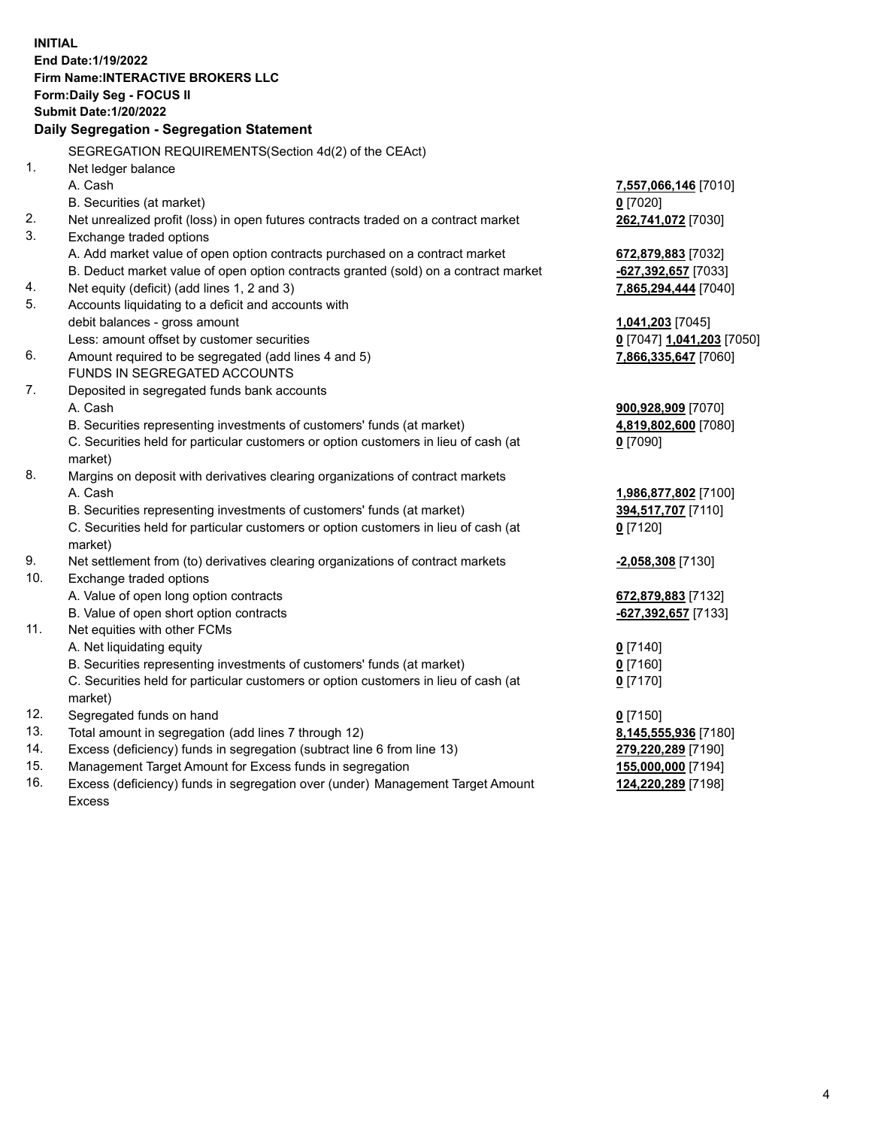**INITIAL End Date:1/19/2022 Firm Name:INTERACTIVE BROKERS LLC Form:Daily Seg - FOCUS II Submit Date:1/20/2022 Daily Segregation - Segregation Statement** SEGREGATION REQUIREMENTS(Section 4d(2) of the CEAct) 1. Net ledger balance A. Cash **7,557,066,146** [7010] B. Securities (at market) **0** [7020] 2. Net unrealized profit (loss) in open futures contracts traded on a contract market **262,741,072** [7030] 3. Exchange traded options A. Add market value of open option contracts purchased on a contract market **672,879,883** [7032] B. Deduct market value of open option contracts granted (sold) on a contract market **-627,392,657** [7033] 4. Net equity (deficit) (add lines 1, 2 and 3) **7,865,294,444** [7040] 5. Accounts liquidating to a deficit and accounts with debit balances - gross amount **1,041,203** [7045] Less: amount offset by customer securities **0** [7047] **1,041,203** [7050] 6. Amount required to be segregated (add lines 4 and 5) **7,866,335,647** [7060] FUNDS IN SEGREGATED ACCOUNTS 7. Deposited in segregated funds bank accounts A. Cash **900,928,909** [7070] B. Securities representing investments of customers' funds (at market) **4,819,802,600** [7080] C. Securities held for particular customers or option customers in lieu of cash (at market) **0** [7090] 8. Margins on deposit with derivatives clearing organizations of contract markets A. Cash **1,986,877,802** [7100] B. Securities representing investments of customers' funds (at market) **394,517,707** [7110] C. Securities held for particular customers or option customers in lieu of cash (at market) **0** [7120] 9. Net settlement from (to) derivatives clearing organizations of contract markets **-2,058,308** [7130] 10. Exchange traded options A. Value of open long option contracts **672,879,883** [7132] B. Value of open short option contracts **-627,392,657** [7133] 11. Net equities with other FCMs A. Net liquidating equity **0** [7140] B. Securities representing investments of customers' funds (at market) **0** [7160] C. Securities held for particular customers or option customers in lieu of cash (at market) **0** [7170] 12. Segregated funds on hand **0** [7150] 13. Total amount in segregation (add lines 7 through 12) **8,145,555,936** [7180] 14. Excess (deficiency) funds in segregation (subtract line 6 from line 13) **279,220,289** [7190] 15. Management Target Amount for Excess funds in segregation **155,000,000** [7194] **124,220,289** [7198]

16. Excess (deficiency) funds in segregation over (under) Management Target Amount Excess